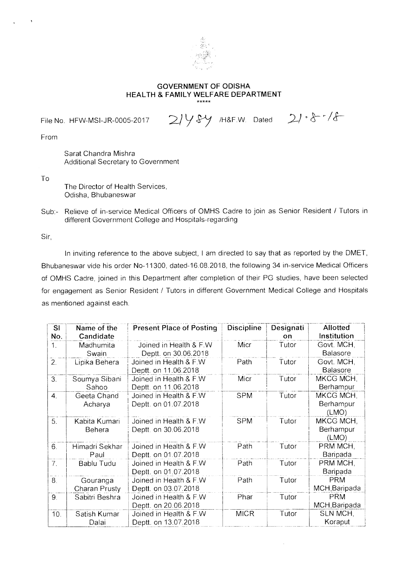

## **GOVERNMENT OF ODISHA HEALTH & FAMILY WELFARE DEPARTMENT**

File No. HFW-MSI-JR-0005-2017  $2/y$  Sy /H&F.W. Dated  $2/\sqrt[4]{5}$ 

From

Sarat Chandra Mishra Additional Secretary to Government

To

The Director of Health Services, Odisha, Bhubaneswar

Sub:- Relieve of in-service Medical Officers of OMHS Cadre to join as Senior Resident / Tutors in different Government College and Hospitals-regarding

Sir,

In inviting reference to the above subject, I am directed to say that as reported by the DMET, Bhubaneswar vide his order No-11300, dated-16.08.2018, the following 34 in-service Medical Officers of OMHS Cadre, joined in this Department after completion of their PG studies, have been selected for engagement as Senior Resident / Tutors in different Government Medical College and Hospitals as mentioned against each.

| SI<br>No.          | Name of the<br>Candidate  | <b>Present Place of Posting</b>                 | <b>Discipline</b> | Designati<br>on | <b>Allotted</b><br>Institution  |
|--------------------|---------------------------|-------------------------------------------------|-------------------|-----------------|---------------------------------|
| 1.                 | Madhumita<br>Swain        | Joined in Health & F.W<br>Deptt. on 30.06.2018  | Micr              | Tutor           | Govt. MCH,<br>Balasore          |
| $\overline{2}$ .   | Lipika Behera             | Joined in Health & F.W.<br>Deptt. on 11.06.2018 | Path              | Tutor           | Govt. MCH,<br><b>Balasore</b>   |
| 3 <sub>1</sub>     | Soumya Sibani<br>Sahoo    | Joined in Health & F.W<br>Deptt. on 11.06.2018  | Micr              | Tutor           | MKCG MCH,<br>Berhampur          |
| $\boldsymbol{4}$ . | Geeta Chand<br>Acharya    | Joined in Health & F.W<br>Deptt. on 01.07.2018  | <b>SPM</b>        | Tutor           | MKCG MCH,<br>Berhampur<br>(LMO) |
| 5.                 | Kabita Kumari<br>Behera   | Joined in Health & F.W<br>Deptt. on 30.06.2018  | <b>SPM</b>        | Tutor           | MKCG MCH,<br>Berhampur<br>(LMO) |
| 6.                 | Himadri Sekhar<br>Paul    | Joined in Health & F.W.<br>Deptt. on 01.07.2018 | Path              | Tutor           | PRM MCH,<br>Baripada            |
| 7.                 | Bablu Tudu                | Joined in Health & F.W<br>Deptt. on 01.07.2018  | Path              | Tutor           | PRM MCH,<br>Baripada            |
| 8 <sub>1</sub>     | Gouranga<br>Charan Prusty | Joined in Health & F.W<br>Deptt. on 03.07.2018  | Path              | Tutor           | <b>PRM</b><br>MCH, Baripada     |
| 9 <sub>1</sub>     | Sabitri Beshra            | Joined in Health & F.W<br>Deptt. on 20.06.2018  | Phar              | Tutor           | <b>PRM</b><br>MCH, Baripada     |
| 10.                | Satish Kumar<br>Dalai     | Joined in Health & F.W<br>Deptt. on 13.07.2018  | <b>MICR</b>       | Tutor           | SLN MCH,<br>Koraput             |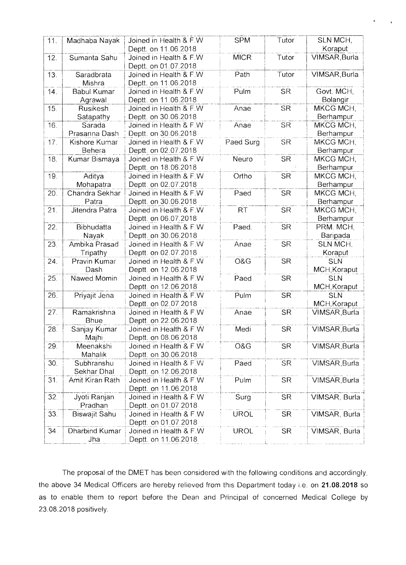| 11. | Madhaba Nayak      | Joined in Health & F.W  | <b>SPM</b>  | Tutor     | SLN MCH,        |
|-----|--------------------|-------------------------|-------------|-----------|-----------------|
|     |                    | Deptt. on 11.06.2018    |             |           | Koraput         |
| 12. | Sumanta Sahu       | Joined in Health & F.W  | <b>MICR</b> | Tutor     | VIMSAR, Burla   |
|     |                    | Deptt. on 01.07.2018    |             |           |                 |
| 13. | Saradbrata         | Joined in Health & F.W  | Path        | Tutor     | VIMSAR, Burla   |
|     | Mishra             | Deptt. on 11.06.2018    |             |           |                 |
| 14. | <b>Babul Kumar</b> | Joined in Health & F.W  | Pulm        | <b>SR</b> | Govt. MCH,      |
|     | Agrawal            | Deptt. on 11.06.2018    |             |           | Bolangir        |
| 15. | Rusikesh           | Joined in Health & F.W  | Anae        | <b>SR</b> | MKCG MCH,       |
|     | Satapathy          | Deptt. on 30.06.2018    |             |           | Berhampur       |
| 16. | Sarada             | Joined in Health & F.W  | Anae        | <b>SR</b> | MKCG MCH,       |
|     | Prasanna Dash      | Deptt. on 30.06.2018    |             |           | Berhampur       |
| 17. | Kishore Kumar      | Joined in Health & F W  | Paed Surg   | <b>SR</b> | MKCG MCH,       |
|     | Behera             | Deptt. on 02.07.2018    |             |           | Berhampur       |
| 18. | Kumar Bismaya      | Joined in Health & F.W. | Neuro       | <b>SR</b> | MKCG MCH,       |
|     |                    | Deptt. on 18.06.2018    |             |           | Berhampur       |
| 19. | Aditya             | Joined in Health & F.W  | Ortho       | <b>SR</b> | MKCG MCH,       |
|     | Mohapatra          | Deptt. on 02.07.2018    |             |           | Berhampur       |
| 20. | Chandra Sekhar     | Joined in Health & F.W  | Paed        | <b>SR</b> | MKCG MCH.       |
|     | Patra              | Deptt. on 30.06.2018    |             |           | Berhampur       |
| 21. | Jitendra Patra     | Joined in Health & F.W  | <b>RT</b>   | <b>SR</b> | MKCG MCH,       |
|     |                    | Deptt. on 06.07.2018    |             |           | Berhampur       |
| 22. | Bibhudatta         | Joined in Health & F.W  | Paed.       | <b>SR</b> | PRM. MCH,       |
|     | Nayak              | Deptt. on 30.06.2018    |             |           | Baripada        |
| 23. | Ambika Prasad      | Joined in Health & F.W  | Anae        | <b>SR</b> | <b>SLN MCH.</b> |
|     | Tripathy           | Deptt. on 02.07.2018    |             |           | Koraput         |
| 24. | Pravin Kumar       | Joined in Health & F.W  | O&G         | <b>SR</b> | <b>SLN</b>      |
|     | Dash               | Deptt. on 12.06.2018    |             |           | MCH, Koraput    |
| 25. | Nawed Momin        | Joined in Health & F.W  | Paed        | <b>SR</b> | <b>SLN</b>      |
|     |                    | Deptt. on 12.06.2018    |             |           | MCH, Koraput    |
| 26. | Priyajit Jena      | Joined in Health & F.W  | Pulm        | <b>SR</b> | <b>SLN</b>      |
|     |                    | Deptt. on 02.07.2018    |             |           | MCH, Koraput    |
| 27. | Ramakrishna        | Joined in Health & F.W  | Anae        | <b>SR</b> | VIMSAR, Burla   |
|     | Bhue               | Deptt. on 22.06.2018    |             |           |                 |
| 28. | Sanjay Kumar       | Joined in Health & F.W. | Medi        | <b>SR</b> | VIMSAR, Burla   |
|     | Majhi              | Deptt. on 08.06.2018    |             |           |                 |
| 29. | Meenakshi          | Joined in Health & F W  | O&G         | <b>SR</b> | VIMSAR, Burla   |
|     | Mahalik            | Deptt. on 30.06.2018    |             |           |                 |
| 30. | Subhranshu         | Joined in Health & F.W  | Paed        | <b>SR</b> | VIMSAR, Burla   |
|     | Sekhar Dhal        | Deptt. on 12.06.2018    |             |           |                 |
| 31. | Amit Kiran Rath    | Joined in Health & F.W  | Pulm        | <b>SR</b> | VIMSAR, Burla   |
|     |                    | Deptt. on 11.06.2018    |             |           |                 |
| 32. | Jyoti Ranjan       | Joined in Health & F W  | Surg        | <b>SR</b> | VIMSAR, Burla   |
|     | Pradhan            | Deptt. on 01.07.2018    |             |           |                 |
| 33. | Biswajit Sahu      | Joined in Health & F.W  | <b>UROL</b> | <b>SR</b> | VIMSAR, Burla   |
|     |                    | Deptt. on 01.07.2018    |             |           |                 |
| 34. | Dharbind Kumar     | Joined in Health & F.W  | <b>UROL</b> | <b>SR</b> | VIMSAR, Burla   |
|     | Jha                | Deptt. on 11.06.2018    |             |           |                 |

 $\mathbf{C}^{\text{max}}_{\text{max}}$ 

The proposal of the DMET has been considered with the following conditions and accordingly, the above 34 Medical Officers are hereby relieved from this Department today i.e. on 21.08.2018 so as to enable them to report before the Dean and Principal of concerned Medical College by 23.08.2018 positively.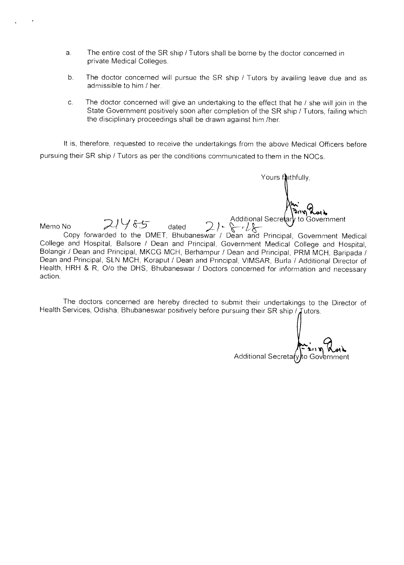- a. The entire cost of the SR ship / Tutors shall be borne by the doctor concerned in private Medical Colleges.
- b. The doctor concerned will pursue the SR ship / Tutors by availing leave due and as admissible to him / her.
- c. The doctor concerned will give an undertaking to the effect that he / she will join in the State Government positively soon after completion of the SR ship / Tutors, failing which the disciplinary proceedings shall be drawn against him /her.

It is, therefore, requested to receive the undertakings from the above Medical Officers before pursuing their SR ship / Tutors as per the conditions communicated to them in the NOCs.

 $Memo No$   $21485$  dated  $21\sqrt{2115}$  Additional Secret Copy forwarded to the DMET, Bhubaneswar / Dean and Principal, Government Medical College and Hospital, Balsore / Dean and Principal, Government Medical College and Hospital, Bolangir / Dean and Principal, MKCG MCH, Berhampur / Dean and Principal, PRM MCH, Baripada / Dean and Principal, SLN MCH, Koraput / Dean and Principal, VIMSAR, Burla / Additional Director of Health, HRH & R, 0/o the DHS, Bhubaneswar / Doctors concerned for information and necessary action. to Government

The doctors concerned are hereby directed to submit their undertakings to the Director of Health Services, Odisha, Bhubaneswar positively before pursuing their SR ship /  $\int$ utors.

Additional Secretary

Yours faithfully,